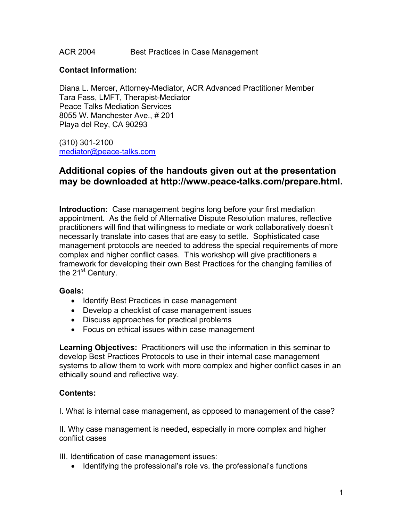ACR 2004 Best Practices in Case Management

#### **Contact Information:**

Diana L. Mercer, Attorney-Mediator, ACR Advanced Practitioner Member Tara Fass, LMFT, Therapist-Mediator Peace Talks Mediation Services 8055 W. Manchester Ave., # 201 Playa del Rey, CA 90293

(310) 301-2100 mediator@peace-talks.com

# **Additional copies of the handouts given out at the presentation may be downloaded at http://www.peace-talks.com/prepare.html.**

**Introduction:** Case management begins long before your first mediation appointment. As the field of Alternative Dispute Resolution matures, reflective practitioners will find that willingness to mediate or work collaboratively doesn't necessarily translate into cases that are easy to settle. Sophisticated case management protocols are needed to address the special requirements of more complex and higher conflict cases. This workshop will give practitioners a framework for developing their own Best Practices for the changing families of the 21<sup>st</sup> Century.

#### **Goals:**

- Identify Best Practices in case management
- Develop a checklist of case management issues
- Discuss approaches for practical problems
- Focus on ethical issues within case management

**Learning Objectives:** Practitioners will use the information in this seminar to develop Best Practices Protocols to use in their internal case management systems to allow them to work with more complex and higher conflict cases in an ethically sound and reflective way.

#### **Contents:**

I. What is internal case management, as opposed to management of the case?

II. Why case management is needed, especially in more complex and higher conflict cases

III. Identification of case management issues:

• Identifying the professional's role vs. the professional's functions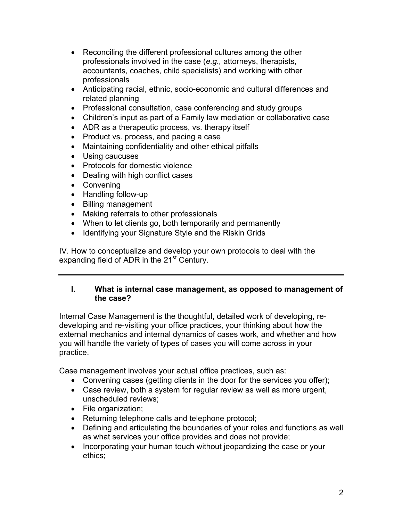- Reconciling the different professional cultures among the other professionals involved in the case (*e.g.,* attorneys, therapists, accountants, coaches, child specialists) and working with other professionals
- Anticipating racial, ethnic, socio-economic and cultural differences and related planning
- Professional consultation, case conferencing and study groups
- Children's input as part of a Family law mediation or collaborative case
- ADR as a therapeutic process, vs. therapy itself
- Product vs. process, and pacing a case
- Maintaining confidentiality and other ethical pitfalls
- Using caucuses
- Protocols for domestic violence
- Dealing with high conflict cases
- Convening
- Handling follow-up
- Billing management
- Making referrals to other professionals
- When to let clients go, both temporarily and permanently
- Identifying your Signature Style and the Riskin Grids

IV. How to conceptualize and develop your own protocols to deal with the expanding field of ADR in the 21<sup>st</sup> Century.

## **I. What is internal case management, as opposed to management of the case?**

Internal Case Management is the thoughtful, detailed work of developing, redeveloping and re-visiting your office practices, your thinking about how the external mechanics and internal dynamics of cases work, and whether and how you will handle the variety of types of cases you will come across in your practice.

Case management involves your actual office practices, such as:

- Convening cases (getting clients in the door for the services you offer);
- Case review, both a system for regular review as well as more urgent, unscheduled reviews;
- File organization;
- Returning telephone calls and telephone protocol;
- Defining and articulating the boundaries of your roles and functions as well as what services your office provides and does not provide;
- Incorporating your human touch without jeopardizing the case or your ethics;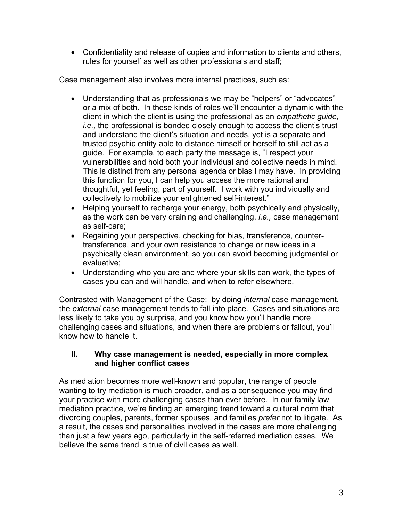• Confidentiality and release of copies and information to clients and others, rules for yourself as well as other professionals and staff;

Case management also involves more internal practices, such as:

- Understanding that as professionals we may be "helpers" or "advocates" or a mix of both. In these kinds of roles we'll encounter a dynamic with the client in which the client is using the professional as an *empathetic guide, i.e.,* the professional is bonded closely enough to access the client's trust and understand the client's situation and needs, yet is a separate and trusted psychic entity able to distance himself or herself to still act as a guide. For example, to each party the message is, "I respect your vulnerabilities and hold both your individual and collective needs in mind. This is distinct from any personal agenda or bias I may have. In providing this function for you, I can help you access the more rational and thoughtful, yet feeling, part of yourself. I work with you individually and collectively to mobilize your enlightened self-interest."
- Helping yourself to recharge your energy, both psychically and physically, as the work can be very draining and challenging, *i.e.,* case management as self-care;
- Regaining your perspective, checking for bias, transference, countertransference, and your own resistance to change or new ideas in a psychically clean environment, so you can avoid becoming judgmental or evaluative;
- Understanding who you are and where your skills can work, the types of cases you can and will handle, and when to refer elsewhere.

Contrasted with Management of the Case: by doing *internal* case management, the *external* case management tends to fall into place. Cases and situations are less likely to take you by surprise, and you know how you'll handle more challenging cases and situations, and when there are problems or fallout, you'll know how to handle it.

## **II. Why case management is needed, especially in more complex and higher conflict cases**

As mediation becomes more well-known and popular, the range of people wanting to try mediation is much broader, and as a consequence you may find your practice with more challenging cases than ever before. In our family law mediation practice, we're finding an emerging trend toward a cultural norm that divorcing couples, parents, former spouses, and families *prefer* not to litigate. As a result, the cases and personalities involved in the cases are more challenging than just a few years ago, particularly in the self-referred mediation cases. We believe the same trend is true of civil cases as well.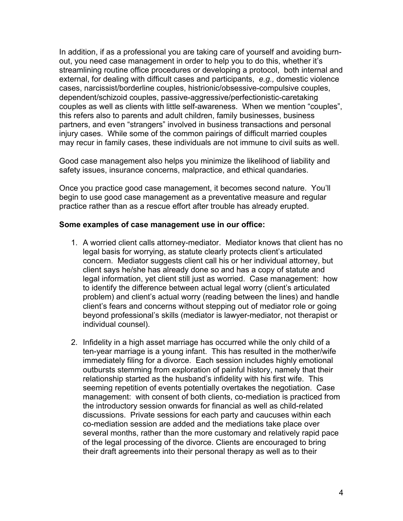In addition, if as a professional you are taking care of yourself and avoiding burnout, you need case management in order to help you to do this, whether it's streamlining routine office procedures or developing a protocol, both internal and external, for dealing with difficult cases and participants, *e.g.,* domestic violence cases, narcissist/borderline couples, histrionic/obsessive-compulsive couples, dependent/schizoid couples, passive-aggressive/perfectionistic-caretaking couples as well as clients with little self-awareness. When we mention "couples", this refers also to parents and adult children, family businesses, business partners, and even "strangers" involved in business transactions and personal injury cases. While some of the common pairings of difficult married couples may recur in family cases, these individuals are not immune to civil suits as well.

Good case management also helps you minimize the likelihood of liability and safety issues, insurance concerns, malpractice, and ethical quandaries.

Once you practice good case management, it becomes second nature. You'll begin to use good case management as a preventative measure and regular practice rather than as a rescue effort after trouble has already erupted.

#### **Some examples of case management use in our office:**

- 1. A worried client calls attorney-mediator. Mediator knows that client has no legal basis for worrying, as statute clearly protects client's articulated concern. Mediator suggests client call his or her individual attorney, but client says he/she has already done so and has a copy of statute and legal information, yet client still just as worried. Case management: how to identify the difference between actual legal worry (client's articulated problem) and client's actual worry (reading between the lines) and handle client's fears and concerns without stepping out of mediator role or going beyond professional's skills (mediator is lawyer-mediator, not therapist or individual counsel).
- 2. Infidelity in a high asset marriage has occurred while the only child of a ten-year marriage is a young infant. This has resulted in the mother/wife immediately filing for a divorce. Each session includes highly emotional outbursts stemming from exploration of painful history, namely that their relationship started as the husband's infidelity with his first wife. This seeming repetition of events potentially overtakes the negotiation. Case management: with consent of both clients, co-mediation is practiced from the introductory session onwards for financial as well as child-related discussions. Private sessions for each party and caucuses within each co-mediation session are added and the mediations take place over several months, rather than the more customary and relatively rapid pace of the legal processing of the divorce. Clients are encouraged to bring their draft agreements into their personal therapy as well as to their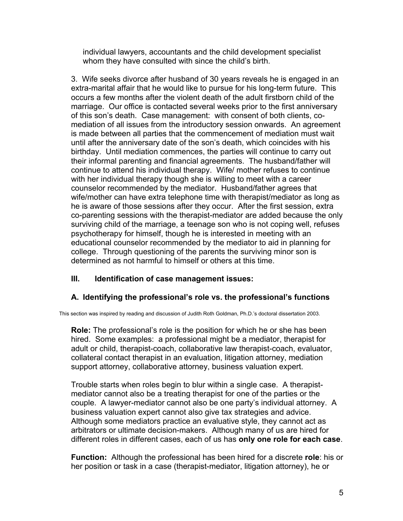individual lawyers, accountants and the child development specialist whom they have consulted with since the child's birth.

3. Wife seeks divorce after husband of 30 years reveals he is engaged in an extra-marital affair that he would like to pursue for his long-term future. This occurs a few months after the violent death of the adult firstborn child of the marriage. Our office is contacted several weeks prior to the first anniversary of this son's death. Case management: with consent of both clients, comediation of all issues from the introductory session onwards. An agreement is made between all parties that the commencement of mediation must wait until after the anniversary date of the son's death, which coincides with his birthday. Until mediation commences, the parties will continue to carry out their informal parenting and financial agreements. The husband/father will continue to attend his individual therapy. Wife/ mother refuses to continue with her individual therapy though she is willing to meet with a career counselor recommended by the mediator. Husband/father agrees that wife/mother can have extra telephone time with therapist/mediator as long as he is aware of those sessions after they occur. After the first session, extra co-parenting sessions with the therapist-mediator are added because the only surviving child of the marriage, a teenage son who is not coping well, refuses psychotherapy for himself, though he is interested in meeting with an educational counselor recommended by the mediator to aid in planning for college. Through questioning of the parents the surviving minor son is determined as not harmful to himself or others at this time.

## **III. Identification of case management issues:**

## **A. Identifying the professional's role vs. the professional's functions**

This section was inspired by reading and discussion of Judith Roth Goldman, Ph.D.'s doctoral dissertation 2003.

**Role:** The professional's role is the position for which he or she has been hired. Some examples: a professional might be a mediator, therapist for adult or child, therapist-coach, collaborative law therapist-coach, evaluator, collateral contact therapist in an evaluation, litigation attorney, mediation support attorney, collaborative attorney, business valuation expert.

Trouble starts when roles begin to blur within a single case. A therapistmediator cannot also be a treating therapist for one of the parties or the couple. A lawyer-mediator cannot also be one party's individual attorney. A business valuation expert cannot also give tax strategies and advice. Although some mediators practice an evaluative style, they cannot act as arbitrators or ultimate decision-makers. Although many of us are hired for different roles in different cases, each of us has **only one role for each case**.

**Function:** Although the professional has been hired for a discrete **role**: his or her position or task in a case (therapist-mediator, litigation attorney), he or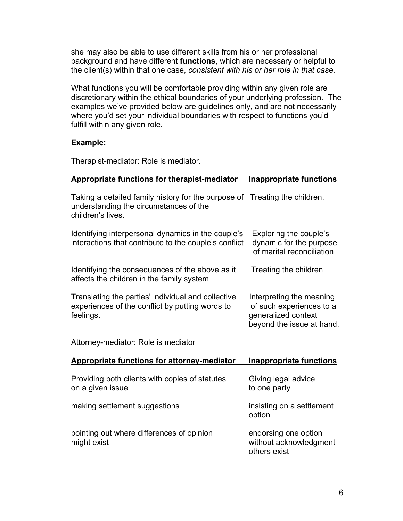she may also be able to use different skills from his or her professional background and have different **functions**, which are necessary or helpful to the client(s) within that one case, *consistent with his or her role in that case*.

What functions you will be comfortable providing within any given role are discretionary within the ethical boundaries of your underlying profession. The examples we've provided below are guidelines only, and are not necessarily where you'd set your individual boundaries with respect to functions you'd fulfill within any given role.

#### **Example:**

Therapist-mediator: Role is mediator.

| Appropriate functions for therapist-mediator                                                                                              | <b>Inappropriate functions</b>                                                                           |
|-------------------------------------------------------------------------------------------------------------------------------------------|----------------------------------------------------------------------------------------------------------|
| Taking a detailed family history for the purpose of Treating the children.<br>understanding the circumstances of the<br>children's lives. |                                                                                                          |
| Identifying interpersonal dynamics in the couple's<br>interactions that contribute to the couple's conflict                               | Exploring the couple's<br>dynamic for the purpose<br>of marital reconciliation                           |
| Identifying the consequences of the above as it<br>affects the children in the family system                                              | Treating the children                                                                                    |
| Translating the parties' individual and collective<br>experiences of the conflict by putting words to<br>feelings.                        | Interpreting the meaning<br>of such experiences to a<br>generalized context<br>beyond the issue at hand. |
| Attorney-mediator: Role is mediator                                                                                                       |                                                                                                          |
| <b>Appropriate functions for attorney-mediator</b>                                                                                        | <b>Inappropriate functions</b>                                                                           |
| Providing both clients with copies of statutes<br>on a given issue                                                                        | Giving legal advice<br>to one party                                                                      |
| making settlement suggestions                                                                                                             | insisting on a settlement<br>option                                                                      |
| pointing out where differences of opinion<br>might exist                                                                                  | endorsing one option<br>without acknowledgment<br>others exist                                           |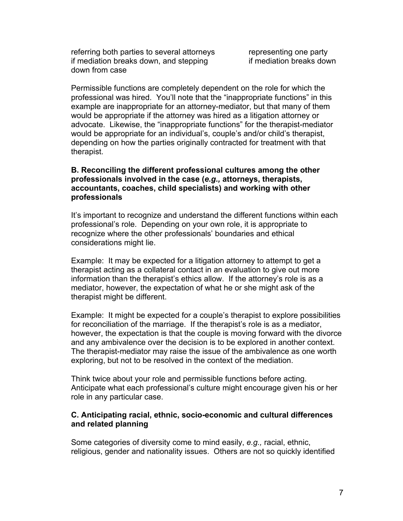referring both parties to several attorneys representing one party if mediation breaks down, and stepping if mediation breaks down down from case

Permissible functions are completely dependent on the role for which the professional was hired. You'll note that the "inappropriate functions" in this example are inappropriate for an attorney-mediator, but that many of them would be appropriate if the attorney was hired as a litigation attorney or advocate. Likewise, the "inappropriate functions" for the therapist-mediator would be appropriate for an individual's, couple's and/or child's therapist, depending on how the parties originally contracted for treatment with that therapist.

#### **B. Reconciling the different professional cultures among the other professionals involved in the case (***e.g.,* **attorneys, therapists, accountants, coaches, child specialists) and working with other professionals**

It's important to recognize and understand the different functions within each professional's role. Depending on your own role, it is appropriate to recognize where the other professionals' boundaries and ethical considerations might lie.

Example: It may be expected for a litigation attorney to attempt to get a therapist acting as a collateral contact in an evaluation to give out more information than the therapist's ethics allow. If the attorney's role is as a mediator, however, the expectation of what he or she might ask of the therapist might be different.

Example: It might be expected for a couple's therapist to explore possibilities for reconciliation of the marriage. If the therapist's role is as a mediator, however, the expectation is that the couple is moving forward with the divorce and any ambivalence over the decision is to be explored in another context. The therapist-mediator may raise the issue of the ambivalence as one worth exploring, but not to be resolved in the context of the mediation.

Think twice about your role and permissible functions before acting. Anticipate what each professional's culture might encourage given his or her role in any particular case.

#### **C. Anticipating racial, ethnic, socio-economic and cultural differences and related planning**

Some categories of diversity come to mind easily, *e.g.,* racial, ethnic, religious, gender and nationality issues. Others are not so quickly identified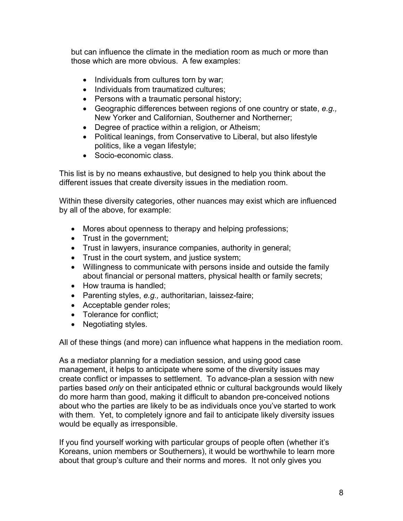but can influence the climate in the mediation room as much or more than those which are more obvious. A few examples:

- Individuals from cultures torn by war;
- Individuals from traumatized cultures;
- Persons with a traumatic personal history;
- Geographic differences between regions of one country or state, *e.g.,*  New Yorker and Californian, Southerner and Northerner;
- Degree of practice within a religion, or Atheism;
- Political leanings, from Conservative to Liberal, but also lifestyle politics, like a vegan lifestyle;
- Socio-economic class.

This list is by no means exhaustive, but designed to help you think about the different issues that create diversity issues in the mediation room.

Within these diversity categories, other nuances may exist which are influenced by all of the above, for example:

- Mores about openness to therapy and helping professions;
- Trust in the government;
- Trust in lawyers, insurance companies, authority in general;
- Trust in the court system, and justice system;
- Willingness to communicate with persons inside and outside the family about financial or personal matters, physical health or family secrets;
- How trauma is handled;
- Parenting styles, *e.g.,* authoritarian, laissez-faire;
- Acceptable gender roles;
- Tolerance for conflict;
- Negotiating styles.

All of these things (and more) can influence what happens in the mediation room.

As a mediator planning for a mediation session, and using good case management, it helps to anticipate where some of the diversity issues may create conflict or impasses to settlement. To advance-plan a session with new parties based *only* on their anticipated ethnic or cultural backgrounds would likely do more harm than good, making it difficult to abandon pre-conceived notions about who the parties are likely to be as individuals once you've started to work with them. Yet, to completely ignore and fail to anticipate likely diversity issues would be equally as irresponsible.

If you find yourself working with particular groups of people often (whether it's Koreans, union members or Southerners), it would be worthwhile to learn more about that group's culture and their norms and mores. It not only gives you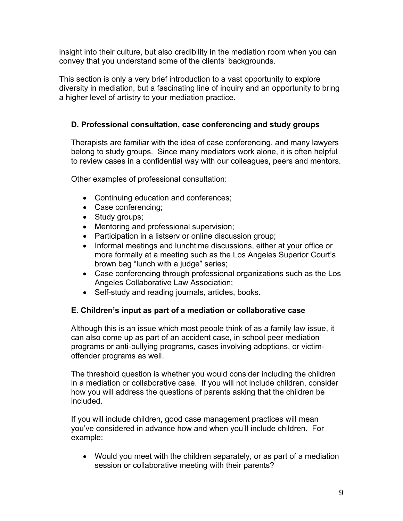insight into their culture, but also credibility in the mediation room when you can convey that you understand some of the clients' backgrounds.

This section is only a very brief introduction to a vast opportunity to explore diversity in mediation, but a fascinating line of inquiry and an opportunity to bring a higher level of artistry to your mediation practice.

# **D. Professional consultation, case conferencing and study groups**

Therapists are familiar with the idea of case conferencing, and many lawyers belong to study groups. Since many mediators work alone, it is often helpful to review cases in a confidential way with our colleagues, peers and mentors.

Other examples of professional consultation:

- Continuing education and conferences;
- Case conferencing;
- Study groups;
- Mentoring and professional supervision;
- Participation in a listserv or online discussion group;
- Informal meetings and lunchtime discussions, either at your office or more formally at a meeting such as the Los Angeles Superior Court's brown bag "lunch with a judge" series;
- Case conferencing through professional organizations such as the Los Angeles Collaborative Law Association;
- Self-study and reading journals, articles, books.

# **E. Children's input as part of a mediation or collaborative case**

Although this is an issue which most people think of as a family law issue, it can also come up as part of an accident case, in school peer mediation programs or anti-bullying programs, cases involving adoptions, or victimoffender programs as well.

The threshold question is whether you would consider including the children in a mediation or collaborative case. If you will not include children, consider how you will address the questions of parents asking that the children be included.

If you will include children, good case management practices will mean you've considered in advance how and when you'll include children. For example:

• Would you meet with the children separately, or as part of a mediation session or collaborative meeting with their parents?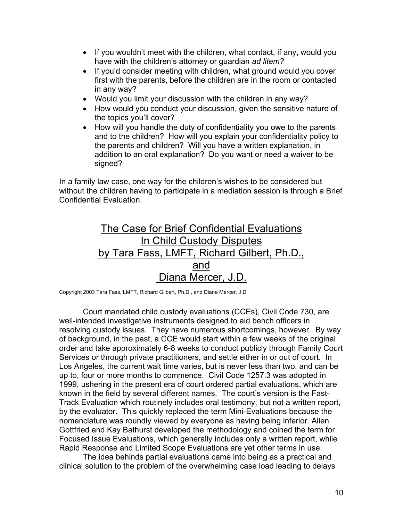- If you wouldn't meet with the children, what contact, if any, would you have with the children's attorney or guardian *ad litem?*
- If you'd consider meeting with children, what ground would you cover first with the parents, before the children are in the room or contacted in any way?
- Would you limit your discussion with the children in any way?
- How would you conduct your discussion, given the sensitive nature of the topics you'll cover?
- How will you handle the duty of confidentiality you owe to the parents and to the children? How will you explain your confidentiality policy to the parents and children? Will you have a written explanation, in addition to an oral explanation? Do you want or need a waiver to be signed?

In a family law case, one way for the children's wishes to be considered but without the children having to participate in a mediation session is through a Brief Confidential Evaluation.

# The Case for Brief Confidential Evaluations In Child Custody Disputes by Tara Fass, LMFT, Richard Gilbert, Ph.D., and Diana Mercer, J.D.

Copyright 2003 Tara Fass, LMFT, Richard Gilbert, Ph.D., and Diana Mercer, J.D.

Court mandated child custody evaluations (CCEs), Civil Code 730, are well-intended investigative instruments designed to aid bench officers in resolving custody issues. They have numerous shortcomings, however. By way of background, in the past, a CCE would start within a few weeks of the original order and take approximately 6-8 weeks to conduct publicly through Family Court Services or through private practitioners, and settle either in or out of court. In Los Angeles, the current wait time varies, but is never less than two, and can be up to, four or more months to commence. Civil Code 1257.3 was adopted in 1999, ushering in the present era of court ordered partial evaluations, which are known in the field by several different names. The court's version is the Fast-Track Evaluation which routinely includes oral testimony, but not a written report, by the evaluator. This quickly replaced the term Mini-Evaluations because the nomenclature was roundly viewed by everyone as having being inferior. Allen Gottfried and Kay Bathurst developed the methodology and coined the term for Focused Issue Evaluations, which generally includes only a written report, while Rapid Response and Limited Scope Evaluations are yet other terms in use.

The idea behinds partial evaluations came into being as a practical and clinical solution to the problem of the overwhelming case load leading to delays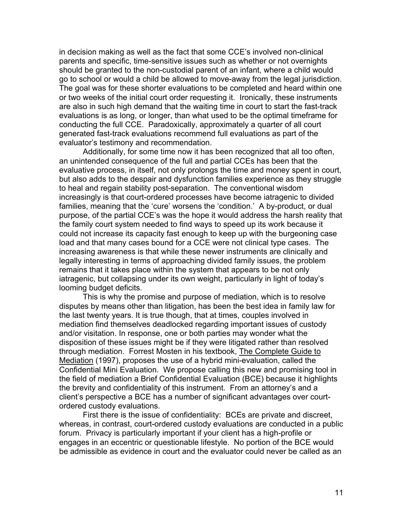in decision making as well as the fact that some CCE's involved non-clinical parents and specific, time-sensitive issues such as whether or not overnights should be granted to the non-custodial parent of an infant, where a child would go to school or would a child be allowed to move-away from the legal jurisdiction. The goal was for these shorter evaluations to be completed and heard within one or two weeks of the initial court order requesting it. Ironically, these instruments are also in such high demand that the waiting time in court to start the fast-track evaluations is as long, or longer, than what used to be the optimal timeframe for conducting the full CCE. Paradoxically, approximately a quarter of all court generated fast-track evaluations recommend full evaluations as part of the evaluator's testimony and recommendation.

Additionally, for some time now it has been recognized that all too often, an unintended consequence of the full and partial CCEs has been that the evaluative process, in itself, not only prolongs the time and money spent in court, but also adds to the despair and dysfunction families experience as they struggle to heal and regain stability post-separation. The conventional wisdom increasingly is that court-ordered processes have become iatragenic to divided families, meaning that the 'cure' worsens the 'condition.' A by-product, or dual purpose, of the partial CCE's was the hope it would address the harsh reality that the family court system needed to find ways to speed up its work because it could not increase its capacity fast enough to keep up with the burgeoning case load and that many cases bound for a CCE were not clinical type cases. The increasing awareness is that while these newer instruments are clinically and legally interesting in terms of approaching divided family issues, the problem remains that it takes place within the system that appears to be not only iatragenic, but collapsing under its own weight, particularly in light of today's looming budget deficits.

This is why the promise and purpose of mediation, which is to resolve disputes by means other than litigation, has been the best idea in family law for the last twenty years. It is true though, that at times, couples involved in mediation find themselves deadlocked regarding important issues of custody and/or visitation. In response, one or both parties may wonder what the disposition of these issues might be if they were litigated rather than resolved through mediation. Forrest Mosten in his textbook, The Complete Guide to Mediation (1997), proposes the use of a hybrid mini-evaluation, called the Confidential Mini Evaluation. We propose calling this new and promising tool in the field of mediation a Brief Confidential Evaluation (BCE) because it highlights the brevity and confidentiality of this instrument. From an attorney's and a client's perspective a BCE has a number of significant advantages over courtordered custody evaluations.

First there is the issue of confidentiality: BCEs are private and discreet, whereas, in contrast, court-ordered custody evaluations are conducted in a public forum. Privacy is particularly important if your client has a high-profile or engages in an eccentric or questionable lifestyle. No portion of the BCE would be admissible as evidence in court and the evaluator could never be called as an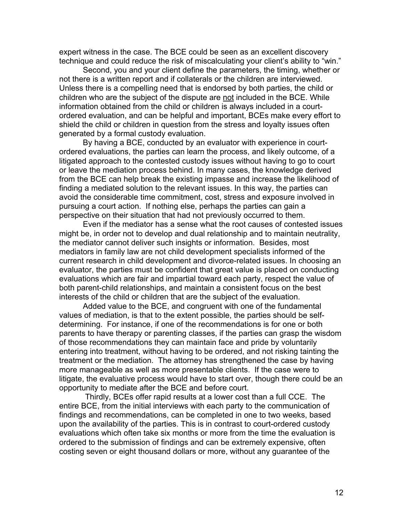expert witness in the case. The BCE could be seen as an excellent discovery technique and could reduce the risk of miscalculating your client's ability to "win."

Second, you and your client define the parameters, the timing, whether or not there is a written report and if collaterals or the children are interviewed. Unless there is a compelling need that is endorsed by both parties, the child or children who are the subject of the dispute are not included in the BCE. While information obtained from the child or children is always included in a courtordered evaluation, and can be helpful and important, BCEs make every effort to shield the child or children in question from the stress and loyalty issues often generated by a formal custody evaluation.

By having a BCE, conducted by an evaluator with experience in courtordered evaluations, the parties can learn the process, and likely outcome, of a litigated approach to the contested custody issues without having to go to court or leave the mediation process behind. In many cases, the knowledge derived from the BCE can help break the existing impasse and increase the likelihood of finding a mediated solution to the relevant issues. In this way, the parties can avoid the considerable time commitment, cost, stress and exposure involved in pursuing a court action. If nothing else, perhaps the parties can gain a perspective on their situation that had not previously occurred to them.

Even if the mediator has a sense what the root causes of contested issues might be, in order not to develop and dual relationship and to maintain neutrality, the mediator cannot deliver such insights or information. Besides, most mediators in family law are not child development specialists informed of the current research in child development and divorce-related issues. In choosing an evaluator, the parties must be confident that great value is placed on conducting evaluations which are fair and impartial toward each party, respect the value of both parent-child relationships, and maintain a consistent focus on the best interests of the child or children that are the subject of the evaluation.

Added value to the BCE, and congruent with one of the fundamental values of mediation, is that to the extent possible, the parties should be selfdetermining. For instance, if one of the recommendations is for one or both parents to have therapy or parenting classes, if the parties can grasp the wisdom of those recommendations they can maintain face and pride by voluntarily entering into treatment, without having to be ordered, and not risking tainting the treatment or the mediation. The attorney has strengthened the case by having more manageable as well as more presentable clients. If the case were to litigate, the evaluative process would have to start over, though there could be an opportunity to mediate after the BCE and before court.

 Thirdly, BCEs offer rapid results at a lower cost than a full CCE. The entire BCE, from the initial interviews with each party to the communication of findings and recommendations, can be completed in one to two weeks, based upon the availability of the parties. This is in contrast to court-ordered custody evaluations which often take six months or more from the time the evaluation is ordered to the submission of findings and can be extremely expensive, often costing seven or eight thousand dollars or more, without any guarantee of the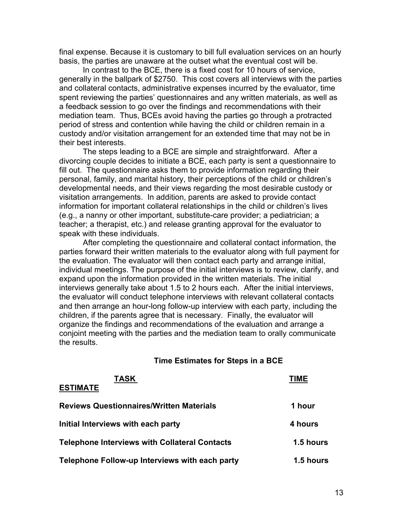final expense. Because it is customary to bill full evaluation services on an hourly basis, the parties are unaware at the outset what the eventual cost will be.

In contrast to the BCE, there is a fixed cost for 10 hours of service, generally in the ballpark of \$2750. This cost covers all interviews with the parties and collateral contacts, administrative expenses incurred by the evaluator, time spent reviewing the parties' questionnaires and any written materials, as well as a feedback session to go over the findings and recommendations with their mediation team. Thus, BCEs avoid having the parties go through a protracted period of stress and contention while having the child or children remain in a custody and/or visitation arrangement for an extended time that may not be in their best interests.

The steps leading to a BCE are simple and straightforward. After a divorcing couple decides to initiate a BCE, each party is sent a questionnaire to fill out. The questionnaire asks them to provide information regarding their personal, family, and marital history, their perceptions of the child or children's developmental needs, and their views regarding the most desirable custody or visitation arrangements. In addition, parents are asked to provide contact information for important collateral relationships in the child or children's lives (e.g., a nanny or other important, substitute-care provider; a pediatrician; a teacher; a therapist, etc.) and release granting approval for the evaluator to speak with these individuals.

 After completing the questionnaire and collateral contact information, the parties forward their written materials to the evaluator along with full payment for the evaluation. The evaluator will then contact each party and arrange initial, individual meetings. The purpose of the initial interviews is to review, clarify, and expand upon the information provided in the written materials. The initial interviews generally take about 1.5 to 2 hours each. After the initial interviews, the evaluator will conduct telephone interviews with relevant collateral contacts and then arrange an hour-long follow-up interview with each party, including the children, if the parents agree that is necessary. Finally, the evaluator will organize the findings and recommendations of the evaluation and arrange a conjoint meeting with the parties and the mediation team to orally communicate the results.

#### **Time Estimates for Steps in a BCE**

| <b>TASK</b><br><b>ESTIMATE</b>                       | TIME             |
|------------------------------------------------------|------------------|
|                                                      |                  |
| <b>Reviews Questionnaires/Written Materials</b>      | 1 hour           |
| Initial Interviews with each party                   | 4 hours          |
| <b>Telephone Interviews with Collateral Contacts</b> | 1.5 hours        |
| Telephone Follow-up Interviews with each party       | <b>1.5 hours</b> |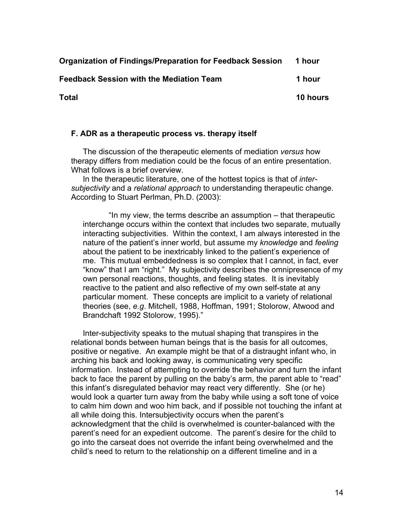**Organization of Findings/Preparation for Feedback Session 1 hour** 

**Feedback Session with the Mediation Team 1 hour** 

**Total 10 hours** 

#### **F. ADR as a therapeutic process vs. therapy itself**

The discussion of the therapeutic elements of mediation *versus* how therapy differs from mediation could be the focus of an entire presentation. What follows is a brief overview.

In the therapeutic literature, one of the hottest topics is that of *intersubjectivity* and a *relational approach* to understanding therapeutic change. According to Stuart Perlman, Ph.D. (2003):

 "In my view, the terms describe an assumption – that therapeutic interchange occurs within the context that includes two separate, mutually interacting subjectivities. Within the context, I am always interested in the nature of the patient's inner world, but assume my *knowledge* and *feeling*  about the patient to be inextricably linked to the patient's experience of me. This mutual embeddedness is so complex that I cannot, in fact, ever "know" that I am "right." My subjectivity describes the omnipresence of my own personal reactions, thoughts, and feeling states. It is inevitably reactive to the patient and also reflective of my own self-state at any particular moment. These concepts are implicit to a variety of relational theories (see, *e.g*. Mitchell, 1988, Hoffman, 1991; Stolorow, Atwood and Brandchaft 1992 Stolorow, 1995)."

Inter-subjectivity speaks to the mutual shaping that transpires in the relational bonds between human beings that is the basis for all outcomes, positive or negative. An example might be that of a distraught infant who, in arching his back and looking away, is communicating very specific information. Instead of attempting to override the behavior and turn the infant back to face the parent by pulling on the baby's arm, the parent able to "read" this infant's disregulated behavior may react very differently. She (or he) would look a quarter turn away from the baby while using a soft tone of voice to calm him down and woo him back, and if possible not touching the infant at all while doing this. Intersubjectivity occurs when the parent's acknowledgment that the child is overwhelmed is counter-balanced with the parent's need for an expedient outcome. The parent's desire for the child to go into the carseat does not override the infant being overwhelmed and the child's need to return to the relationship on a different timeline and in a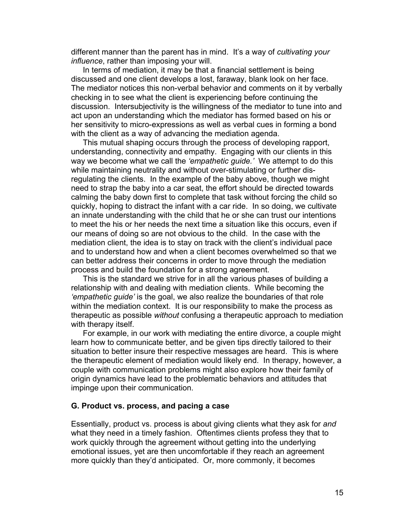different manner than the parent has in mind. It's a way of *cultivating your influence*, rather than imposing your will.

In terms of mediation, it may be that a financial settlement is being discussed and one client develops a lost, faraway, blank look on her face. The mediator notices this non-verbal behavior and comments on it by verbally checking in to see what the client is experiencing before continuing the discussion. Intersubjectivity is the willingness of the mediator to tune into and act upon an understanding which the mediator has formed based on his or her sensitivity to micro-expressions as well as verbal cues in forming a bond with the client as a way of advancing the mediation agenda.

This mutual shaping occurs through the process of developing rapport, understanding, connectivity and empathy. Engaging with our clients in this way we become what we call the *'empathetic guide.'* We attempt to do this while maintaining neutrality and without over-stimulating or further disregulating the clients. In the example of the baby above, though we might need to strap the baby into a car seat, the effort should be directed towards calming the baby down first to complete that task without forcing the child so quickly, hoping to distract the infant with a car ride. In so doing, we cultivate an innate understanding with the child that he or she can trust our intentions to meet the his or her needs the next time a situation like this occurs, even if our means of doing so are not obvious to the child. In the case with the mediation client, the idea is to stay on track with the client's individual pace and to understand how and when a client becomes overwhelmed so that we can better address their concerns in order to move through the mediation process and build the foundation for a strong agreement.

This is the standard we strive for in all the various phases of building a relationship with and dealing with mediation clients. While becoming the *'empathetic guide'* is the goal, we also realize the boundaries of that role within the mediation context. It is our responsibility to make the process as therapeutic as possible *without* confusing a therapeutic approach to mediation with therapy itself.

For example, in our work with mediating the entire divorce, a couple might learn how to communicate better, and be given tips directly tailored to their situation to better insure their respective messages are heard. This is where the therapeutic element of mediation would likely end. In therapy, however, a couple with communication problems might also explore how their family of origin dynamics have lead to the problematic behaviors and attitudes that impinge upon their communication.

#### **G. Product vs. process, and pacing a case**

Essentially, product vs. process is about giving clients what they ask for *and* what they need in a timely fashion. Oftentimes clients profess they that to work quickly through the agreement without getting into the underlying emotional issues, yet are then uncomfortable if they reach an agreement more quickly than they'd anticipated. Or, more commonly, it becomes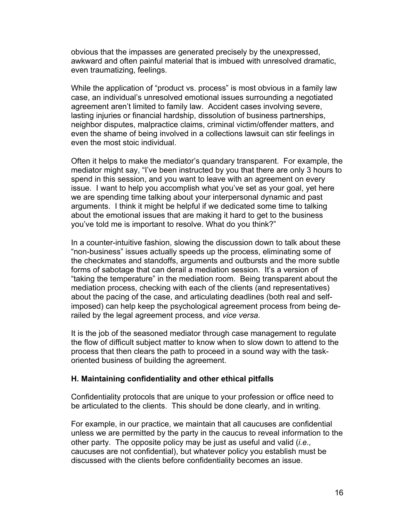obvious that the impasses are generated precisely by the unexpressed, awkward and often painful material that is imbued with unresolved dramatic, even traumatizing, feelings.

While the application of "product vs. process" is most obvious in a family law case, an individual's unresolved emotional issues surrounding a negotiated agreement aren't limited to family law. Accident cases involving severe, lasting injuries or financial hardship, dissolution of business partnerships, neighbor disputes, malpractice claims, criminal victim/offender matters, and even the shame of being involved in a collections lawsuit can stir feelings in even the most stoic individual.

Often it helps to make the mediator's quandary transparent. For example, the mediator might say, "I've been instructed by you that there are only 3 hours to spend in this session, and you want to leave with an agreement on every issue. I want to help you accomplish what you've set as your goal, yet here we are spending time talking about your interpersonal dynamic and past arguments. I think it might be helpful if we dedicated some time to talking about the emotional issues that are making it hard to get to the business you've told me is important to resolve. What do you think?"

In a counter-intuitive fashion, slowing the discussion down to talk about these "non-business" issues actually speeds up the process, eliminating some of the checkmates and standoffs, arguments and outbursts and the more subtle forms of sabotage that can derail a mediation session. It's a version of "taking the temperature" in the mediation room. Being transparent about the mediation process, checking with each of the clients (and representatives) about the pacing of the case, and articulating deadlines (both real and selfimposed) can help keep the psychological agreement process from being derailed by the legal agreement process, and *vice versa.* 

It is the job of the seasoned mediator through case management to regulate the flow of difficult subject matter to know when to slow down to attend to the process that then clears the path to proceed in a sound way with the taskoriented business of building the agreement.

#### **H. Maintaining confidentiality and other ethical pitfalls**

Confidentiality protocols that are unique to your profession or office need to be articulated to the clients. This should be done clearly, and in writing.

For example, in our practice, we maintain that all caucuses are confidential unless we are permitted by the party in the caucus to reveal information to the other party. The opposite policy may be just as useful and valid (*i.e.,*  caucuses are not confidential), but whatever policy you establish must be discussed with the clients before confidentiality becomes an issue.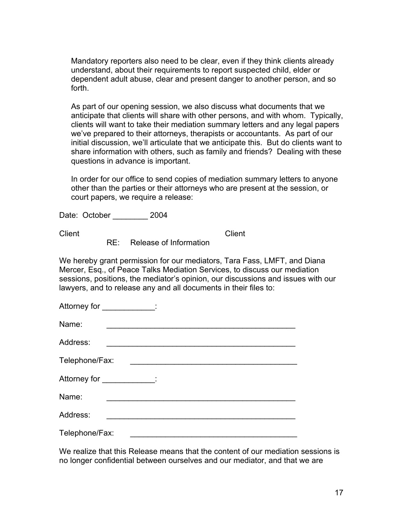Mandatory reporters also need to be clear, even if they think clients already understand, about their requirements to report suspected child, elder or dependent adult abuse, clear and present danger to another person, and so forth.

As part of our opening session, we also discuss what documents that we anticipate that clients will share with other persons, and with whom. Typically, clients will want to take their mediation summary letters and any legal papers we've prepared to their attorneys, therapists or accountants. As part of our initial discussion, we'll articulate that we anticipate this. But do clients want to share information with others, such as family and friends? Dealing with these questions in advance is important.

In order for our office to send copies of mediation summary letters to anyone other than the parties or their attorneys who are present at the session, or court papers, we require a release:

Date: October \_\_\_\_\_\_\_\_ 2004

**Client** Client Client

RE: Release of Information

We hereby grant permission for our mediators, Tara Fass, LMFT, and Diana Mercer, Esq., of Peace Talks Mediation Services, to discuss our mediation sessions, positions, the mediator's opinion, our discussions and issues with our lawyers, and to release any and all documents in their files to:

| Attorney for _____________:  |
|------------------------------|
| Name:                        |
| Address:                     |
| Telephone/Fax:               |
| Attorney for ______________: |
| Name:                        |
| Address:                     |

Telephone/Fax:

We realize that this Release means that the content of our mediation sessions is no longer confidential between ourselves and our mediator, and that we are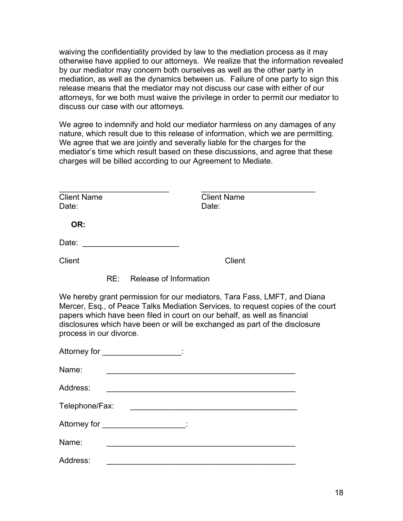waiving the confidentiality provided by law to the mediation process as it may otherwise have applied to our attorneys. We realize that the information revealed by our mediator may concern both ourselves as well as the other party in mediation, as well as the dynamics between us. Failure of one party to sign this release means that the mediator may not discuss our case with either of our attorneys, for we both must waive the privilege in order to permit our mediator to discuss our case with our attorneys.

We agree to indemnify and hold our mediator harmless on any damages of any nature, which result due to this release of information, which we are permitting. We agree that we are jointly and severally liable for the charges for the mediator's time which result based on these discussions, and agree that these charges will be billed according to our Agreement to Mediate.

| <b>Client Name</b><br>Date: |                            | <b>Client Name</b><br>Date: |               |
|-----------------------------|----------------------------|-----------------------------|---------------|
| OR:                         |                            |                             |               |
| Date:                       |                            |                             |               |
| <b>Client</b>               |                            |                             | <b>Client</b> |
|                             | RE: Release of Information |                             |               |

We hereby grant permission for our mediators, Tara Fass, LMFT, and Diana Mercer, Esq., of Peace Talks Mediation Services, to request copies of the court papers which have been filed in court on our behalf, as well as financial disclosures which have been or will be exchanged as part of the disclosure process in our divorce.

| Name:          |
|----------------|
| Address:       |
| Telephone/Fax: |
|                |
| Name:          |
| Address:       |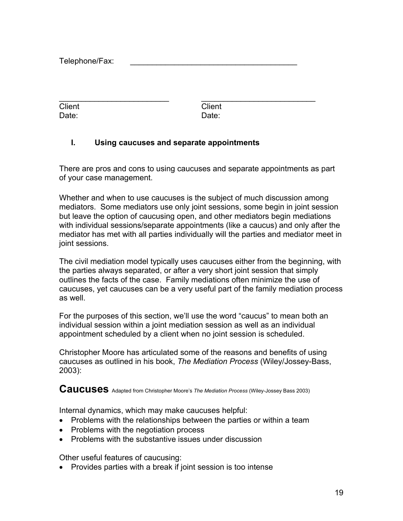Telephone/Fax:

| Client | <b>Client</b> |  |
|--------|---------------|--|
| Date:  | Date:         |  |

#### **I. Using caucuses and separate appointments**

There are pros and cons to using caucuses and separate appointments as part of your case management.

Whether and when to use caucuses is the subject of much discussion among mediators. Some mediators use only joint sessions, some begin in joint session but leave the option of caucusing open, and other mediators begin mediations with individual sessions/separate appointments (like a caucus) and only after the mediator has met with all parties individually will the parties and mediator meet in joint sessions.

The civil mediation model typically uses caucuses either from the beginning, with the parties always separated, or after a very short joint session that simply outlines the facts of the case. Family mediations often minimize the use of caucuses, yet caucuses can be a very useful part of the family mediation process as well.

For the purposes of this section, we'll use the word "caucus" to mean both an individual session within a joint mediation session as well as an individual appointment scheduled by a client when no joint session is scheduled.

Christopher Moore has articulated some of the reasons and benefits of using caucuses as outlined in his book, *The Mediation Process* (Wiley/Jossey-Bass, 2003):

**Caucuses** Adapted from Christopher Moore's *The Mediation Process* (Wiley-Jossey Bass 2003)

Internal dynamics, which may make caucuses helpful:

- Problems with the relationships between the parties or within a team
- Problems with the negotiation process
- Problems with the substantive issues under discussion

Other useful features of caucusing:

• Provides parties with a break if joint session is too intense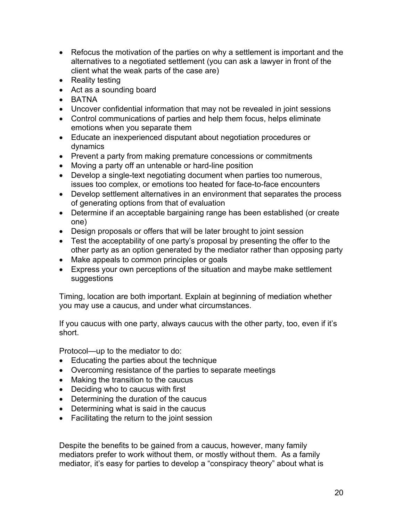- Refocus the motivation of the parties on why a settlement is important and the alternatives to a negotiated settlement (you can ask a lawyer in front of the client what the weak parts of the case are)
- Reality testing
- Act as a sounding board
- BATNA
- Uncover confidential information that may not be revealed in joint sessions
- Control communications of parties and help them focus, helps eliminate emotions when you separate them
- Educate an inexperienced disputant about negotiation procedures or dynamics
- Prevent a party from making premature concessions or commitments
- Moving a party off an untenable or hard-line position
- Develop a single-text negotiating document when parties too numerous, issues too complex, or emotions too heated for face-to-face encounters
- Develop settlement alternatives in an environment that separates the process of generating options from that of evaluation
- Determine if an acceptable bargaining range has been established (or create one)
- Design proposals or offers that will be later brought to joint session
- Test the acceptability of one party's proposal by presenting the offer to the other party as an option generated by the mediator rather than opposing party
- Make appeals to common principles or goals
- Express your own perceptions of the situation and maybe make settlement suggestions

Timing, location are both important. Explain at beginning of mediation whether you may use a caucus, and under what circumstances.

If you caucus with one party, always caucus with the other party, too, even if it's short.

Protocol—up to the mediator to do:

- Educating the parties about the technique
- Overcoming resistance of the parties to separate meetings
- Making the transition to the caucus
- Deciding who to caucus with first
- Determining the duration of the caucus
- Determining what is said in the caucus
- Facilitating the return to the joint session

Despite the benefits to be gained from a caucus, however, many family mediators prefer to work without them, or mostly without them. As a family mediator, it's easy for parties to develop a "conspiracy theory" about what is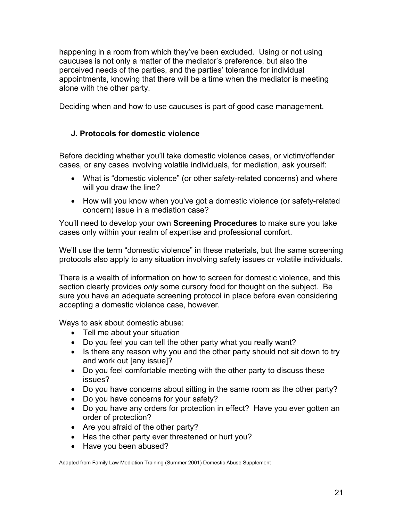happening in a room from which they've been excluded. Using or not using caucuses is not only a matter of the mediator's preference, but also the perceived needs of the parties, and the parties' tolerance for individual appointments, knowing that there will be a time when the mediator is meeting alone with the other party.

Deciding when and how to use caucuses is part of good case management.

# **J. Protocols for domestic violence**

Before deciding whether you'll take domestic violence cases, or victim/offender cases, or any cases involving volatile individuals, for mediation, ask yourself:

- What is "domestic violence" (or other safety-related concerns) and where will you draw the line?
- How will you know when you've got a domestic violence (or safety-related concern) issue in a mediation case?

You'll need to develop your own **Screening Procedures** to make sure you take cases only within your realm of expertise and professional comfort.

We'll use the term "domestic violence" in these materials, but the same screening protocols also apply to any situation involving safety issues or volatile individuals.

There is a wealth of information on how to screen for domestic violence, and this section clearly provides *only* some cursory food for thought on the subject. Be sure you have an adequate screening protocol in place before even considering accepting a domestic violence case, however.

Ways to ask about domestic abuse:

- Tell me about your situation
- Do you feel you can tell the other party what you really want?
- Is there any reason why you and the other party should not sit down to try and work out [any issue]?
- Do you feel comfortable meeting with the other party to discuss these issues?
- Do you have concerns about sitting in the same room as the other party?
- Do you have concerns for your safety?
- Do you have any orders for protection in effect? Have you ever gotten an order of protection?
- Are you afraid of the other party?
- Has the other party ever threatened or hurt you?
- Have you been abused?

Adapted from Family Law Mediation Training (Summer 2001) Domestic Abuse Supplement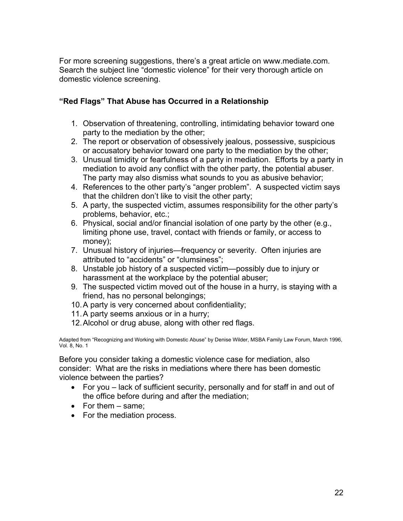For more screening suggestions, there's a great article on www.mediate.com. Search the subject line "domestic violence" for their very thorough article on domestic violence screening.

## **"Red Flags" That Abuse has Occurred in a Relationship**

- 1. Observation of threatening, controlling, intimidating behavior toward one party to the mediation by the other;
- 2. The report or observation of obsessively jealous, possessive, suspicious or accusatory behavior toward one party to the mediation by the other;
- 3. Unusual timidity or fearfulness of a party in mediation. Efforts by a party in mediation to avoid any conflict with the other party, the potential abuser. The party may also dismiss what sounds to you as abusive behavior;
- 4. References to the other party's "anger problem". A suspected victim says that the children don't like to visit the other party;
- 5. A party, the suspected victim, assumes responsibility for the other party's problems, behavior, etc.;
- 6. Physical, social and/or financial isolation of one party by the other (e.g., limiting phone use, travel, contact with friends or family, or access to money);
- 7. Unusual history of injuries—frequency or severity. Often injuries are attributed to "accidents" or "clumsiness";
- 8. Unstable job history of a suspected victim—possibly due to injury or harassment at the workplace by the potential abuser;
- 9. The suspected victim moved out of the house in a hurry, is staying with a friend, has no personal belongings;
- 10. A party is very concerned about confidentiality;
- 11. A party seems anxious or in a hurry;
- 12. Alcohol or drug abuse, along with other red flags.

Adapted from "Recognizing and Working with Domestic Abuse" by Denise Wilder, MSBA Family Law Forum, March 1996, Vol. 8, No. 1

Before you consider taking a domestic violence case for mediation, also consider: What are the risks in mediations where there has been domestic violence between the parties?

- For you lack of sufficient security, personally and for staff in and out of the office before during and after the mediation;
- For them same:
- For the mediation process.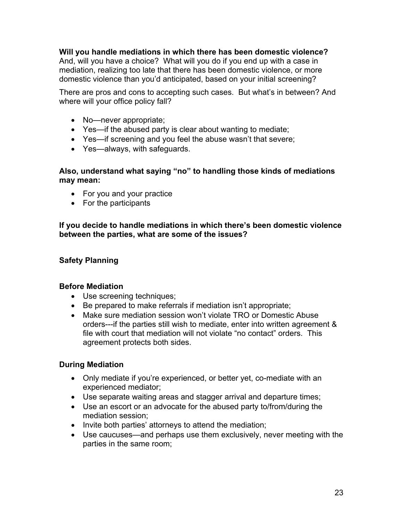**Will you handle mediations in which there has been domestic violence?**  And, will you have a choice? What will you do if you end up with a case in mediation, realizing too late that there has been domestic violence, or more domestic violence than you'd anticipated, based on your initial screening?

There are pros and cons to accepting such cases. But what's in between? And where will your office policy fall?

- No—never appropriate;
- Yes—if the abused party is clear about wanting to mediate;
- Yes—if screening and you feel the abuse wasn't that severe;
- Yes—always, with safeguards.

#### **Also, understand what saying "no" to handling those kinds of mediations may mean:**

- For you and your practice
- For the participants

**If you decide to handle mediations in which there's been domestic violence between the parties, what are some of the issues?** 

# **Safety Planning**

#### **Before Mediation**

- Use screening techniques;
- Be prepared to make referrals if mediation isn't appropriate;
- Make sure mediation session won't violate TRO or Domestic Abuse orders---if the parties still wish to mediate, enter into written agreement & file with court that mediation will not violate "no contact" orders. This agreement protects both sides.

## **During Mediation**

- Only mediate if you're experienced, or better yet, co-mediate with an experienced mediator;
- Use separate waiting areas and stagger arrival and departure times;
- Use an escort or an advocate for the abused party to/from/during the mediation session;
- Invite both parties' attorneys to attend the mediation;
- Use caucuses—and perhaps use them exclusively, never meeting with the parties in the same room;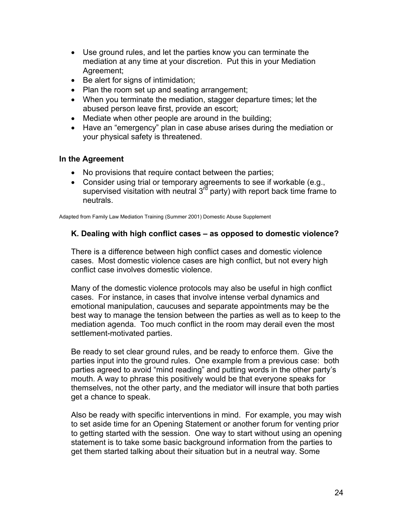- Use ground rules, and let the parties know you can terminate the mediation at any time at your discretion. Put this in your Mediation Agreement;
- Be alert for signs of intimidation;
- Plan the room set up and seating arrangement;
- When you terminate the mediation, stagger departure times; let the abused person leave first, provide an escort;
- Mediate when other people are around in the building;
- Have an "emergency" plan in case abuse arises during the mediation or your physical safety is threatened.

#### **In the Agreement**

- No provisions that require contact between the parties;
- Consider using trial or temporary agreements to see if workable (e.g., supervised visitation with neutral  $3<sup>rd</sup>$  party) with report back time frame to neutrals.

Adapted from Family Law Mediation Training (Summer 2001) Domestic Abuse Supplement

#### **K. Dealing with high conflict cases – as opposed to domestic violence?**

There is a difference between high conflict cases and domestic violence cases. Most domestic violence cases are high conflict, but not every high conflict case involves domestic violence.

Many of the domestic violence protocols may also be useful in high conflict cases. For instance, in cases that involve intense verbal dynamics and emotional manipulation, caucuses and separate appointments may be the best way to manage the tension between the parties as well as to keep to the mediation agenda. Too much conflict in the room may derail even the most settlement-motivated parties.

Be ready to set clear ground rules, and be ready to enforce them. Give the parties input into the ground rules. One example from a previous case: both parties agreed to avoid "mind reading" and putting words in the other party's mouth. A way to phrase this positively would be that everyone speaks for themselves, not the other party, and the mediator will insure that both parties get a chance to speak.

Also be ready with specific interventions in mind. For example, you may wish to set aside time for an Opening Statement or another forum for venting prior to getting started with the session. One way to start without using an opening statement is to take some basic background information from the parties to get them started talking about their situation but in a neutral way. Some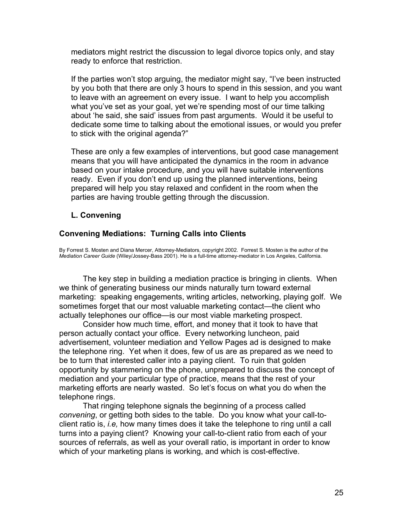mediators might restrict the discussion to legal divorce topics only, and stay ready to enforce that restriction.

If the parties won't stop arguing, the mediator might say, "I've been instructed by you both that there are only 3 hours to spend in this session, and you want to leave with an agreement on every issue. I want to help you accomplish what you've set as your goal, yet we're spending most of our time talking about 'he said, she said' issues from past arguments. Would it be useful to dedicate some time to talking about the emotional issues, or would you prefer to stick with the original agenda?"

These are only a few examples of interventions, but good case management means that you will have anticipated the dynamics in the room in advance based on your intake procedure, and you will have suitable interventions ready. Even if you don't end up using the planned interventions, being prepared will help you stay relaxed and confident in the room when the parties are having trouble getting through the discussion.

#### **L. Convening**

#### **Convening Mediations: Turning Calls into Clients**

By Forrest S. Mosten and Diana Mercer, Attorney-Mediators, copyright 2002. Forrest S. Mosten is the author of the *Mediation Career Guide* (Wiley/Jossey-Bass 2001). He is a full-time attorney-mediator in Los Angeles, California.

The key step in building a mediation practice is bringing in clients. When we think of generating business our minds naturally turn toward external marketing: speaking engagements, writing articles, networking, playing golf. We sometimes forget that our most valuable marketing contact—the client who actually telephones our office—is our most viable marketing prospect.

Consider how much time, effort, and money that it took to have that person actually contact your office. Every networking luncheon, paid advertisement, volunteer mediation and Yellow Pages ad is designed to make the telephone ring. Yet when it does, few of us are as prepared as we need to be to turn that interested caller into a paying client. To ruin that golden opportunity by stammering on the phone, unprepared to discuss the concept of mediation and your particular type of practice, means that the rest of your marketing efforts are nearly wasted. So let's focus on what you do when the telephone rings.

That ringing telephone signals the beginning of a process called *convening*, or getting both sides to the table. Do you know what your call-toclient ratio is, *i.e,* how many times does it take the telephone to ring until a call turns into a paying client? Knowing your call-to-client ratio from each of your sources of referrals, as well as your overall ratio, is important in order to know which of your marketing plans is working, and which is cost-effective.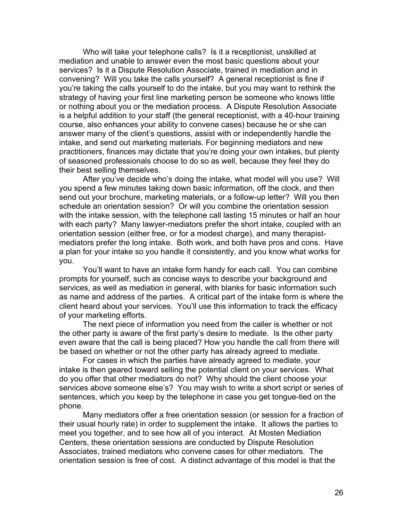Who will take your telephone calls? Is it a receptionist, unskilled at mediation and unable to answer even the most basic questions about your services? Is it a Dispute Resolution Associate, trained in mediation and in convening? Will you take the calls yourself? A general receptionist is fine if you're taking the calls yourself to do the intake, but you may want to rethink the strategy of having your first line marketing person be someone who knows little or nothing about you or the mediation process. A Dispute Resolution Associate is a helpful addition to your staff (the general receptionist, with a 40-hour training course, also enhances your ability to convene cases) because he or she can answer many of the client's questions, assist with or independently handle the intake, and send out marketing materials. For beginning mediators and new practitioners, finances may dictate that you're doing your own intakes, but plenty of seasoned professionals choose to do so as well, because they feel they do their best selling themselves.

After you've decide who's doing the intake, what model will you use? Will you spend a few minutes taking down basic information, off the clock, and then send out your brochure, marketing materials, or a follow-up letter? Will you then schedule an orientation session? Or will you combine the orientation session with the intake session, with the telephone call lasting 15 minutes or half an hour with each party? Many lawyer-mediators prefer the short intake, coupled with an orientation session (either free, or for a modest charge), and many therapistmediators prefer the long intake. Both work, and both have pros and cons. Have a plan for your intake so you handle it consistently, and you know what works for you.

You'll want to have an intake form handy for each call. You can combine prompts for yourself, such as concise ways to describe your background and services, as well as mediation in general, with blanks for basic information such as name and address of the parties. A critical part of the intake form is where the client heard about your services. You'll use this information to track the efficacy of your marketing efforts.

The next piece of information you need from the caller is whether or not the other party is aware of the first party's desire to mediate. Is the other party even aware that the call is being placed? How you handle the call from there will be based on whether or not the other party has already agreed to mediate.

For cases in which the parties have already agreed to mediate, your intake is then geared toward selling the potential client on your services. What do you offer that other mediators do not? Why should the client choose your services above someone else's? You may wish to write a short script or series of sentences, which you keep by the telephone in case you get tongue-tied on the phone.

Many mediators offer a free orientation session (or session for a fraction of their usual hourly rate) in order to supplement the intake. It allows the parties to meet you together, and to see how all of you interact. At Mosten Mediation Centers, these orientation sessions are conducted by Dispute Resolution Associates, trained mediators who convene cases for other mediators. The orientation session is free of cost. A distinct advantage of this model is that the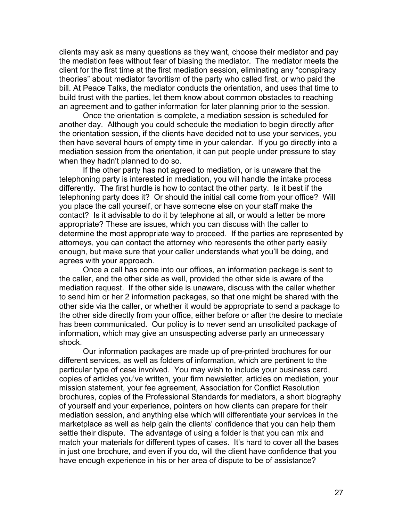clients may ask as many questions as they want, choose their mediator and pay the mediation fees without fear of biasing the mediator. The mediator meets the client for the first time at the first mediation session, eliminating any "conspiracy theories" about mediator favoritism of the party who called first, or who paid the bill. At Peace Talks, the mediator conducts the orientation, and uses that time to build trust with the parties, let them know about common obstacles to reaching an agreement and to gather information for later planning prior to the session.

Once the orientation is complete, a mediation session is scheduled for another day. Although you could schedule the mediation to begin directly after the orientation session, if the clients have decided not to use your services, you then have several hours of empty time in your calendar. If you go directly into a mediation session from the orientation, it can put people under pressure to stay when they hadn't planned to do so.

If the other party has not agreed to mediation, or is unaware that the telephoning party is interested in mediation, you will handle the intake process differently. The first hurdle is how to contact the other party. Is it best if the telephoning party does it? Or should the initial call come from your office? Will you place the call yourself, or have someone else on your staff make the contact? Is it advisable to do it by telephone at all, or would a letter be more appropriate? These are issues, which you can discuss with the caller to determine the most appropriate way to proceed. If the parties are represented by attorneys, you can contact the attorney who represents the other party easily enough, but make sure that your caller understands what you'll be doing, and agrees with your approach.

Once a call has come into our offices, an information package is sent to the caller, and the other side as well, provided the other side is aware of the mediation request. If the other side is unaware, discuss with the caller whether to send him or her 2 information packages, so that one might be shared with the other side via the caller, or whether it would be appropriate to send a package to the other side directly from your office, either before or after the desire to mediate has been communicated. Our policy is to never send an unsolicited package of information, which may give an unsuspecting adverse party an unnecessary shock.

Our information packages are made up of pre-printed brochures for our different services, as well as folders of information, which are pertinent to the particular type of case involved. You may wish to include your business card, copies of articles you've written, your firm newsletter, articles on mediation, your mission statement, your fee agreement, Association for Conflict Resolution brochures, copies of the Professional Standards for mediators, a short biography of yourself and your experience, pointers on how clients can prepare for their mediation session, and anything else which will differentiate your services in the marketplace as well as help gain the clients' confidence that you can help them settle their dispute. The advantage of using a folder is that you can mix and match your materials for different types of cases. It's hard to cover all the bases in just one brochure, and even if you do, will the client have confidence that you have enough experience in his or her area of dispute to be of assistance?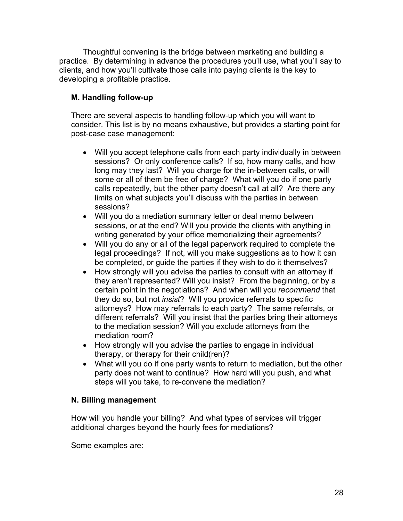Thoughtful convening is the bridge between marketing and building a practice. By determining in advance the procedures you'll use, what you'll say to clients, and how you'll cultivate those calls into paying clients is the key to developing a profitable practice.

# **M. Handling follow-up**

There are several aspects to handling follow-up which you will want to consider. This list is by no means exhaustive, but provides a starting point for post-case case management:

- Will you accept telephone calls from each party individually in between sessions? Or only conference calls? If so, how many calls, and how long may they last? Will you charge for the in-between calls, or will some or all of them be free of charge? What will you do if one party calls repeatedly, but the other party doesn't call at all? Are there any limits on what subjects you'll discuss with the parties in between sessions?
- Will you do a mediation summary letter or deal memo between sessions, or at the end? Will you provide the clients with anything in writing generated by your office memorializing their agreements?
- Will you do any or all of the legal paperwork required to complete the legal proceedings? If not, will you make suggestions as to how it can be completed, or guide the parties if they wish to do it themselves?
- How strongly will you advise the parties to consult with an attorney if they aren't represented? Will you insist? From the beginning, or by a certain point in the negotiations? And when will you *recommend* that they do so, but not *insist*? Will you provide referrals to specific attorneys? How may referrals to each party? The same referrals, or different referrals? Will you insist that the parties bring their attorneys to the mediation session? Will you exclude attorneys from the mediation room?
- How strongly will you advise the parties to engage in individual therapy, or therapy for their child(ren)?
- What will you do if one party wants to return to mediation, but the other party does not want to continue? How hard will you push, and what steps will you take, to re-convene the mediation?

## **N. Billing management**

How will you handle your billing? And what types of services will trigger additional charges beyond the hourly fees for mediations?

Some examples are: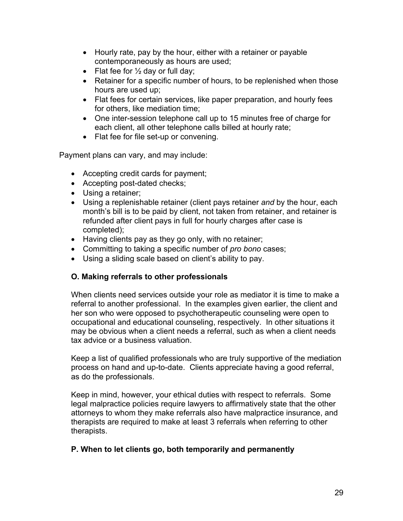- Hourly rate, pay by the hour, either with a retainer or payable contemporaneously as hours are used;
- Flat fee for  $\frac{1}{2}$  day or full day;
- Retainer for a specific number of hours, to be replenished when those hours are used up;
- Flat fees for certain services, like paper preparation, and hourly fees for others, like mediation time;
- One inter-session telephone call up to 15 minutes free of charge for each client, all other telephone calls billed at hourly rate;
- Flat fee for file set-up or convening.

Payment plans can vary, and may include:

- Accepting credit cards for payment;
- Accepting post-dated checks;
- Using a retainer;
- Using a replenishable retainer (client pays retainer *and* by the hour, each month's bill is to be paid by client, not taken from retainer, and retainer is refunded after client pays in full for hourly charges after case is completed);
- Having clients pay as they go only, with no retainer;
- Committing to taking a specific number of *pro bono* cases;
- Using a sliding scale based on client's ability to pay.

## **O. Making referrals to other professionals**

When clients need services outside your role as mediator it is time to make a referral to another professional. In the examples given earlier, the client and her son who were opposed to psychotherapeutic counseling were open to occupational and educational counseling, respectively. In other situations it may be obvious when a client needs a referral, such as when a client needs tax advice or a business valuation.

Keep a list of qualified professionals who are truly supportive of the mediation process on hand and up-to-date. Clients appreciate having a good referral, as do the professionals.

Keep in mind, however, your ethical duties with respect to referrals. Some legal malpractice policies require lawyers to affirmatively state that the other attorneys to whom they make referrals also have malpractice insurance, and therapists are required to make at least 3 referrals when referring to other therapists.

## **P. When to let clients go, both temporarily and permanently**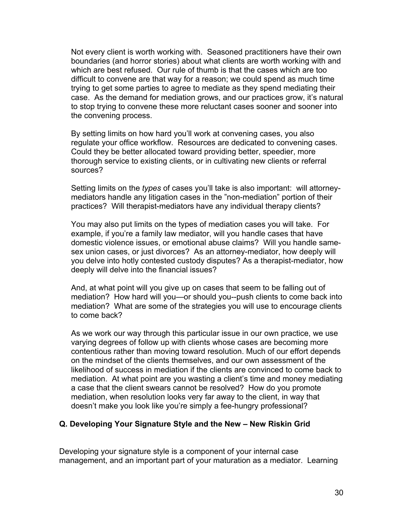Not every client is worth working with. Seasoned practitioners have their own boundaries (and horror stories) about what clients are worth working with and which are best refused. Our rule of thumb is that the cases which are too difficult to convene are that way for a reason; we could spend as much time trying to get some parties to agree to mediate as they spend mediating their case. As the demand for mediation grows, and our practices grow, it's natural to stop trying to convene these more reluctant cases sooner and sooner into the convening process.

By setting limits on how hard you'll work at convening cases, you also regulate your office workflow. Resources are dedicated to convening cases. Could they be better allocated toward providing better, speedier, more thorough service to existing clients, or in cultivating new clients or referral sources?

Setting limits on the *types* of cases you'll take is also important: will attorneymediators handle any litigation cases in the "non-mediation" portion of their practices? Will therapist-mediators have any individual therapy clients?

You may also put limits on the types of mediation cases you will take. For example, if you're a family law mediator, will you handle cases that have domestic violence issues, or emotional abuse claims? Will you handle samesex union cases, or just divorces? As an attorney-mediator, how deeply will you delve into hotly contested custody disputes? As a therapist-mediator, how deeply will delve into the financial issues?

And, at what point will you give up on cases that seem to be falling out of mediation? How hard will you—or should you--push clients to come back into mediation? What are some of the strategies you will use to encourage clients to come back?

As we work our way through this particular issue in our own practice, we use varying degrees of follow up with clients whose cases are becoming more contentious rather than moving toward resolution. Much of our effort depends on the mindset of the clients themselves, and our own assessment of the likelihood of success in mediation if the clients are convinced to come back to mediation. At what point are you wasting a client's time and money mediating a case that the client swears cannot be resolved? How do you promote mediation, when resolution looks very far away to the client, in way that doesn't make you look like you're simply a fee-hungry professional?

#### **Q. Developing Your Signature Style and the New – New Riskin Grid**

Developing your signature style is a component of your internal case management, and an important part of your maturation as a mediator. Learning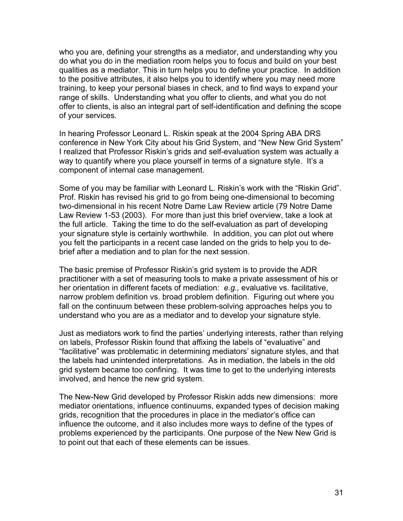who you are, defining your strengths as a mediator, and understanding why you do what you do in the mediation room helps you to focus and build on your best qualities as a mediator. This in turn helps you to define your practice. In addition to the positive attributes, it also helps you to identify where you may need more training, to keep your personal biases in check, and to find ways to expand your range of skills. Understanding what you offer to clients, and what you do not offer to clients, is also an integral part of self-identification and defining the scope of your services.

In hearing Professor Leonard L. Riskin speak at the 2004 Spring ABA DRS conference in New York City about his Grid System, and "New New Grid System" I realized that Professor Riskin's grids and self-evaluation system was actually a way to quantify where you place yourself in terms of a signature style. It's a component of internal case management.

Some of you may be familiar with Leonard L. Riskin's work with the "Riskin Grid". Prof. Riskin has revised his grid to go from being one-dimensional to becoming two-dimensional in his recent Notre Dame Law Review article (79 Notre Dame Law Review 1-53 (2003). For more than just this brief overview, take a look at the full article. Taking the time to do the self-evaluation as part of developing your signature style is certainly worthwhile. In addition, you can plot out where you felt the participants in a recent case landed on the grids to help you to debrief after a mediation and to plan for the next session.

The basic premise of Professor Riskin's grid system is to provide the ADR practitioner with a set of measuring tools to make a private assessment of his or her orientation in different facets of mediation: *e.g.,* evaluative vs. facilitative, narrow problem definition vs. broad problem definition. Figuring out where you fall on the continuum between these problem-solving approaches helps you to understand who you are as a mediator and to develop your signature style.

Just as mediators work to find the parties' underlying interests, rather than relying on labels, Professor Riskin found that affixing the labels of "evaluative" and "facilitative" was problematic in determining mediators' signature styles, and that the labels had unintended interpretations. As in mediation, the labels in the old grid system became too confining. It was time to get to the underlying interests involved, and hence the new grid system.

The New-New Grid developed by Professor Riskin adds new dimensions: more mediator orientations, influence continuums, expanded types of decision making grids, recognition that the procedures in place in the mediator's office can influence the outcome, and it also includes more ways to define of the types of problems experienced by the participants. One purpose of the New New Grid is to point out that each of these elements can be issues.